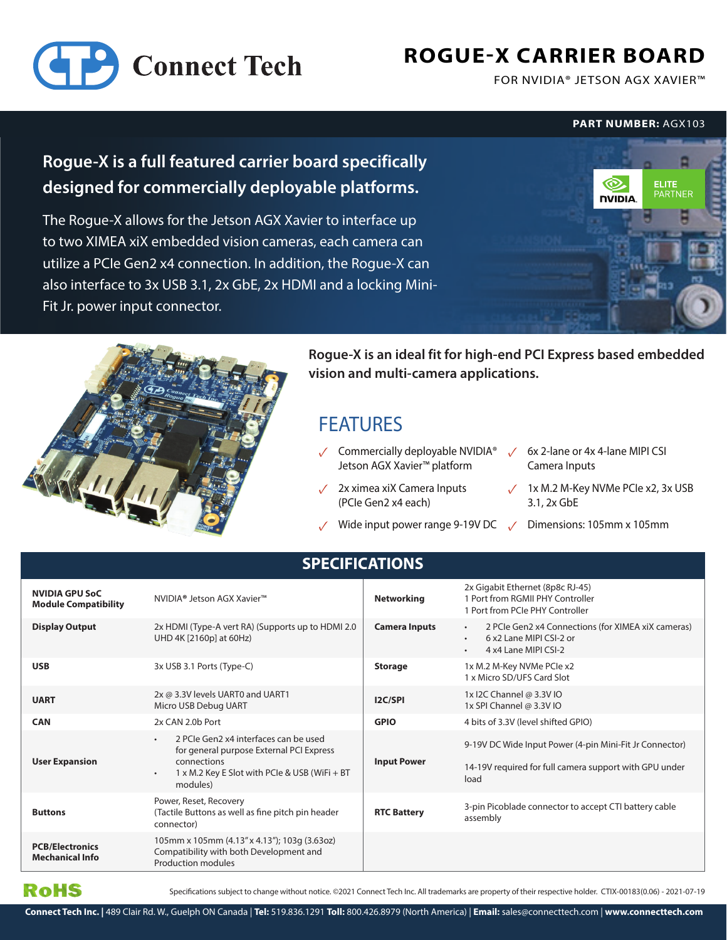# **ROGUE-X CARRIER BOARD**

FOR NVIDIA® JETSON AGX XAVIER™

**PART NUMBER:** AGX103

## **Rogue-X is a full featured carrier board specifically designed for commercially deployable platforms.**

**Connect Tech** 

The Rogue-X allows for the Jetson AGX Xavier to interface up to two XIMEA xiX embedded vision cameras, each camera can utilize a PCIe Gen2 x4 connection. In addition, the Rogue-X can also interface to 3x USB 3.1, 2x GbE, 2x HDMI and a locking Mini-Fit Jr. power input connector.





**Rogue-X is an ideal fit for high-end PCI Express based embedded vision and multi-camera applications.**

## FEATURES

- $\sqrt{\phantom{a}}$  Commercially deployable NVIDIA®  $\phantom{a}$   $\sqrt{\phantom{a}}$  6x 2-lane or 4x 4-lane MIPI CSI Jetson AGX Xavier™ platform
- ✓ 2x ximea xiX Camera Inputs (PCIe Gen2 x4 each)
- ✓ Wide input power range 9-19V DC ✓ Dimensions: 105mm x 105mm
- Camera Inputs
- ✓ 1x M.2 M-Key NVMe PCIe x2, 3x USB 3.1, 2x GbE
- 

### **SPECIFICATIONS**

| <b>NVIDIA GPU SoC</b><br><b>Module Compatibility</b> | NVIDIA® Jetson AGX Xavier™                                                                                                                                                                     | <b>Networking</b>    | 2x Gigabit Ethernet (8p8c RJ-45)<br>1 Port from RGMII PHY Controller<br>1 Port from PCIe PHY Controller                                      |
|------------------------------------------------------|------------------------------------------------------------------------------------------------------------------------------------------------------------------------------------------------|----------------------|----------------------------------------------------------------------------------------------------------------------------------------------|
| <b>Display Output</b>                                | 2x HDMI (Type-A vert RA) (Supports up to HDMI 2.0<br>UHD 4K [2160p] at 60Hz)                                                                                                                   | <b>Camera Inputs</b> | 2 PCIe Gen2 x4 Connections (for XIMEA xiX cameras)<br>$\bullet$<br>6 x2 Lane MIPI CSI-2 or<br>$\bullet$<br>4 x4 Lane MIPI CSI-2<br>$\bullet$ |
| <b>USB</b>                                           | 3x USB 3.1 Ports (Type-C)                                                                                                                                                                      | <b>Storage</b>       | 1x M.2 M-Key NVMe PCIe x2<br>1 x Micro SD/UFS Card Slot                                                                                      |
| <b>UART</b>                                          | 2x @ 3.3V levels UART0 and UART1<br>Micro USB Debug UART                                                                                                                                       | <b>I2C/SPI</b>       | 1x I2C Channel @ 3.3V IO<br>1x SPI Channel @ 3.3V IO                                                                                         |
| <b>CAN</b>                                           | 2x CAN 2.0b Port                                                                                                                                                                               | <b>GPIO</b>          | 4 bits of 3.3V (level shifted GPIO)                                                                                                          |
| <b>User Expansion</b>                                | 2 PCIe Gen2 x4 interfaces can be used<br>$\bullet$<br>for general purpose External PCI Express<br>connections<br>$1 \times M.2$ Key E Slot with PCIe & USB (WiFi + BT<br>$\bullet$<br>modules) | <b>Input Power</b>   | 9-19V DC Wide Input Power (4-pin Mini-Fit Jr Connector)<br>14-19V required for full camera support with GPU under<br>load                    |
| <b>Buttons</b>                                       | Power, Reset, Recovery<br>(Tactile Buttons as well as fine pitch pin header<br>connector)                                                                                                      | <b>RTC Battery</b>   | 3-pin Picoblade connector to accept CTI battery cable<br>assembly                                                                            |
| <b>PCB/Electronics</b><br><b>Mechanical Info</b>     | 105mm x 105mm (4.13" x 4.13"); 103g (3.63oz)<br>Compatibility with both Development and<br>Production modules                                                                                  |                      |                                                                                                                                              |



Specifications subject to change without notice. ©2021 Connect Tech Inc. All trademarks are property of their respective holder. CTIX-00183(0.06) - 2021-07-19

**Connect Tech Inc. |** 489 Clair Rd. W., Guelph ON Canada | **Tel:** 519.836.1291 **Toll:** 800.426.8979 (North America) | **Email:** sales@connecttech.com | **www.connecttech.com**